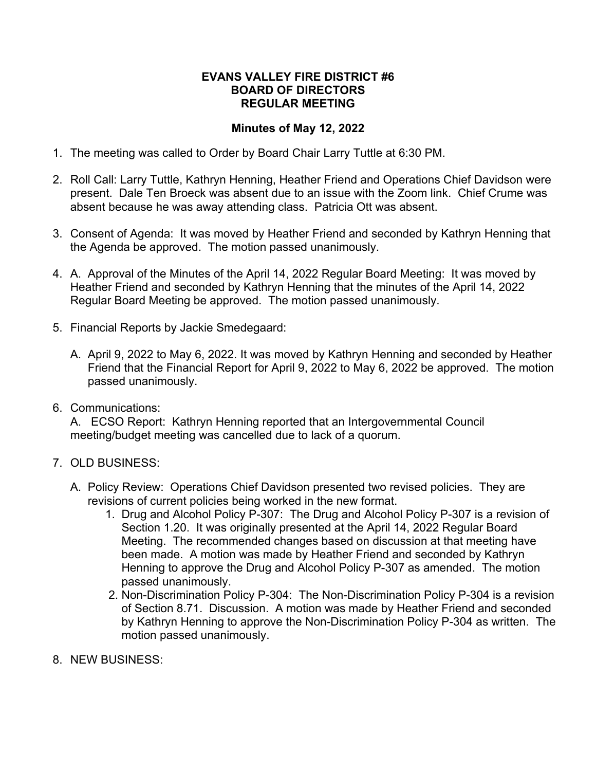## **EVANS VALLEY FIRE DISTRICT #6 BOARD OF DIRECTORS REGULAR MEETING**

## **Minutes of May 12, 2022**

- 1. The meeting was called to Order by Board Chair Larry Tuttle at 6:30 PM.
- 2. Roll Call: Larry Tuttle, Kathryn Henning, Heather Friend and Operations Chief Davidson were present. Dale Ten Broeck was absent due to an issue with the Zoom link. Chief Crume was absent because he was away attending class. Patricia Ott was absent.
- 3. Consent of Agenda: It was moved by Heather Friend and seconded by Kathryn Henning that the Agenda be approved. The motion passed unanimously.
- 4. A. Approval of the Minutes of the April 14, 2022 Regular Board Meeting: It was moved by Heather Friend and seconded by Kathryn Henning that the minutes of the April 14, 2022 Regular Board Meeting be approved. The motion passed unanimously.
- 5. Financial Reports by Jackie Smedegaard:
	- A. April 9, 2022 to May 6, 2022. It was moved by Kathryn Henning and seconded by Heather Friend that the Financial Report for April 9, 2022 to May 6, 2022 be approved. The motion passed unanimously.
- 6. Communications:

A. ECSO Report: Kathryn Henning reported that an Intergovernmental Council meeting/budget meeting was cancelled due to lack of a quorum.

- 7. OLD BUSINESS:
	- A. Policy Review: Operations Chief Davidson presented two revised policies. They are revisions of current policies being worked in the new format.
		- 1. Drug and Alcohol Policy P-307: The Drug and Alcohol Policy P-307 is a revision of Section 1.20. It was originally presented at the April 14, 2022 Regular Board Meeting. The recommended changes based on discussion at that meeting have been made. A motion was made by Heather Friend and seconded by Kathryn Henning to approve the Drug and Alcohol Policy P-307 as amended. The motion passed unanimously.
		- 2. Non-Discrimination Policy P-304: The Non-Discrimination Policy P-304 is a revision of Section 8.71. Discussion. A motion was made by Heather Friend and seconded by Kathryn Henning to approve the Non-Discrimination Policy P-304 as written. The motion passed unanimously.
- 8. NEW BUSINESS: